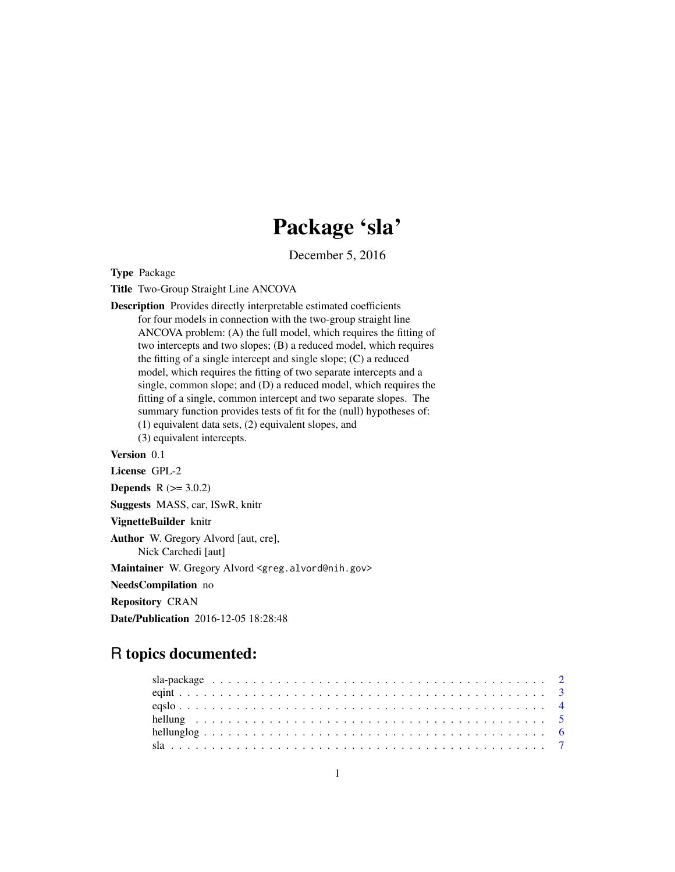## Package 'sla'

December 5, 2016

Type Package

Title Two-Group Straight Line ANCOVA

- Description Provides directly interpretable estimated coefficients for four models in connection with the two-group straight line ANCOVA problem: (A) the full model, which requires the fitting of two intercepts and two slopes; (B) a reduced model, which requires the fitting of a single intercept and single slope; (C) a reduced model, which requires the fitting of two separate intercepts and a single, common slope; and (D) a reduced model, which requires the fitting of a single, common intercept and two separate slopes. The summary function provides tests of fit for the (null) hypotheses of: (1) equivalent data sets, (2) equivalent slopes, and
	- (3) equivalent intercepts.

#### Version 0.1

License GPL-2

```
Depends R (>= 3.0.2)
```
Suggests MASS, car, ISwR, knitr

VignetteBuilder knitr

Author W. Gregory Alvord [aut, cre], Nick Carchedi [aut]

Maintainer W. Gregory Alvord <greg.alvord@nih.gov>

NeedsCompilation no

Repository CRAN

Date/Publication 2016-12-05 18:28:48

### R topics documented: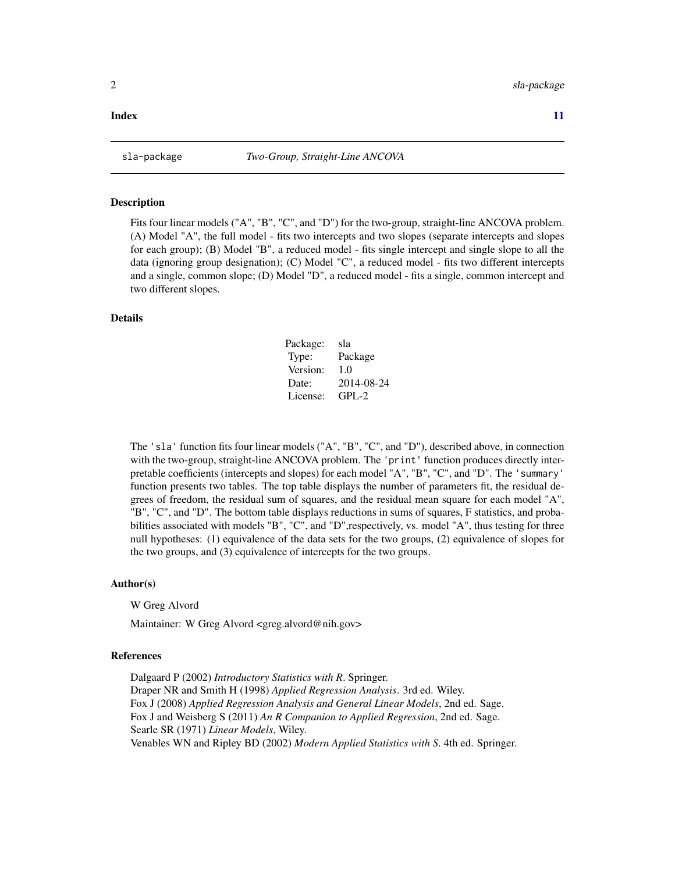#### <span id="page-1-0"></span>**Index** [11](#page-10-0)

#### Description

Fits four linear models ("A", "B", "C", and "D") for the two-group, straight-line ANCOVA problem. (A) Model "A", the full model - fits two intercepts and two slopes (separate intercepts and slopes for each group); (B) Model "B", a reduced model - fits single intercept and single slope to all the data (ignoring group designation); (C) Model "C", a reduced model - fits two different intercepts and a single, common slope; (D) Model "D", a reduced model - fits a single, common intercept and two different slopes.

#### Details

| Package: | sla        |
|----------|------------|
| Type:    | Package    |
| Version: | 1.0        |
| Date:    | 2014-08-24 |
| License: | $GPI - 2$  |

The 'sla' function fits four linear models ("A", "B", "C", and "D"), described above, in connection with the two-group, straight-line ANCOVA problem. The 'print' function produces directly interpretable coefficients (intercepts and slopes) for each model "A", "B", "C", and "D". The 'summary' function presents two tables. The top table displays the number of parameters fit, the residual degrees of freedom, the residual sum of squares, and the residual mean square for each model "A", "B", "C", and "D". The bottom table displays reductions in sums of squares, F statistics, and probabilities associated with models "B", "C", and "D",respectively, vs. model "A", thus testing for three null hypotheses: (1) equivalence of the data sets for the two groups, (2) equivalence of slopes for the two groups, and (3) equivalence of intercepts for the two groups.

#### Author(s)

W Greg Alvord

Maintainer: W Greg Alvord <greg.alvord@nih.gov>

#### References

Dalgaard P (2002) *Introductory Statistics with R*. Springer. Draper NR and Smith H (1998) *Applied Regression Analysis*. 3rd ed. Wiley. Fox J (2008) *Applied Regression Analysis and General Linear Models*, 2nd ed. Sage. Fox J and Weisberg S (2011) *An R Companion to Applied Regression*, 2nd ed. Sage. Searle SR (1971) *Linear Models*, Wiley. Venables WN and Ripley BD (2002) *Modern Applied Statistics with S*. 4th ed. Springer.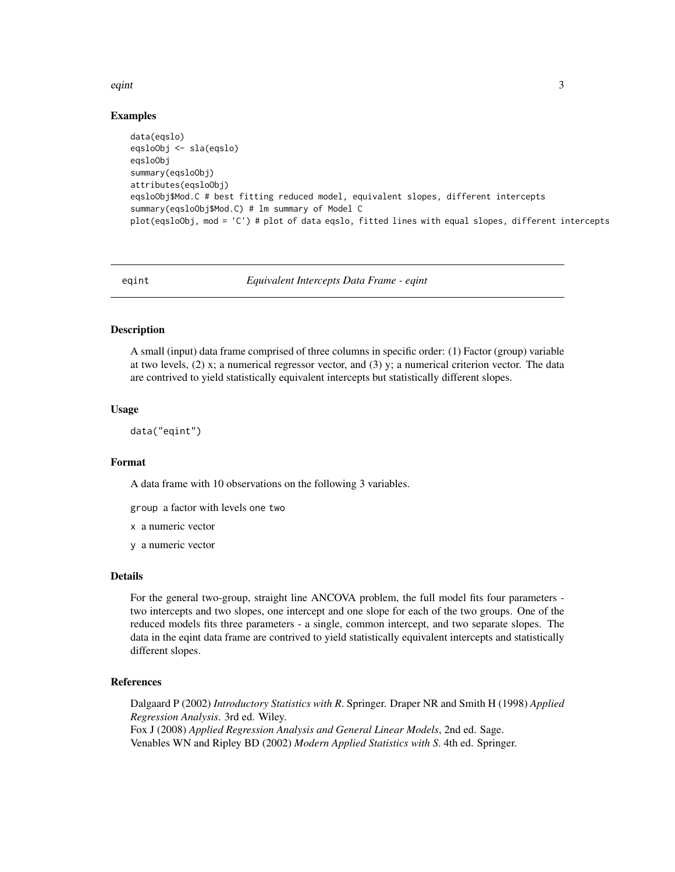#### <span id="page-2-0"></span>eqint 3

#### Examples

```
data(eqslo)
eqsloObj <- sla(eqslo)
eqsloObj
summary(eqsloObj)
attributes(eqsloObj)
eqsloObj$Mod.C # best fitting reduced model, equivalent slopes, different intercepts
summary(eqsloObj$Mod.C) # lm summary of Model C
plot(eqsloObj, mod = 'C') # plot of data eqslo, fitted lines with equal slopes, different intercepts
```
eqint *Equivalent Intercepts Data Frame - eqint*

#### Description

A small (input) data frame comprised of three columns in specific order: (1) Factor (group) variable at two levels,  $(2)$  x; a numerical regressor vector, and  $(3)$  y; a numerical criterion vector. The data are contrived to yield statistically equivalent intercepts but statistically different slopes.

#### Usage

data("eqint")

#### Format

A data frame with 10 observations on the following 3 variables.

group a factor with levels one two

x a numeric vector

y a numeric vector

#### Details

For the general two-group, straight line ANCOVA problem, the full model fits four parameters two intercepts and two slopes, one intercept and one slope for each of the two groups. One of the reduced models fits three parameters - a single, common intercept, and two separate slopes. The data in the eqint data frame are contrived to yield statistically equivalent intercepts and statistically different slopes.

#### References

Dalgaard P (2002) *Introductory Statistics with R*. Springer. Draper NR and Smith H (1998) *Applied Regression Analysis*. 3rd ed. Wiley. Fox J (2008) *Applied Regression Analysis and General Linear Models*, 2nd ed. Sage. Venables WN and Ripley BD (2002) *Modern Applied Statistics with S*. 4th ed. Springer.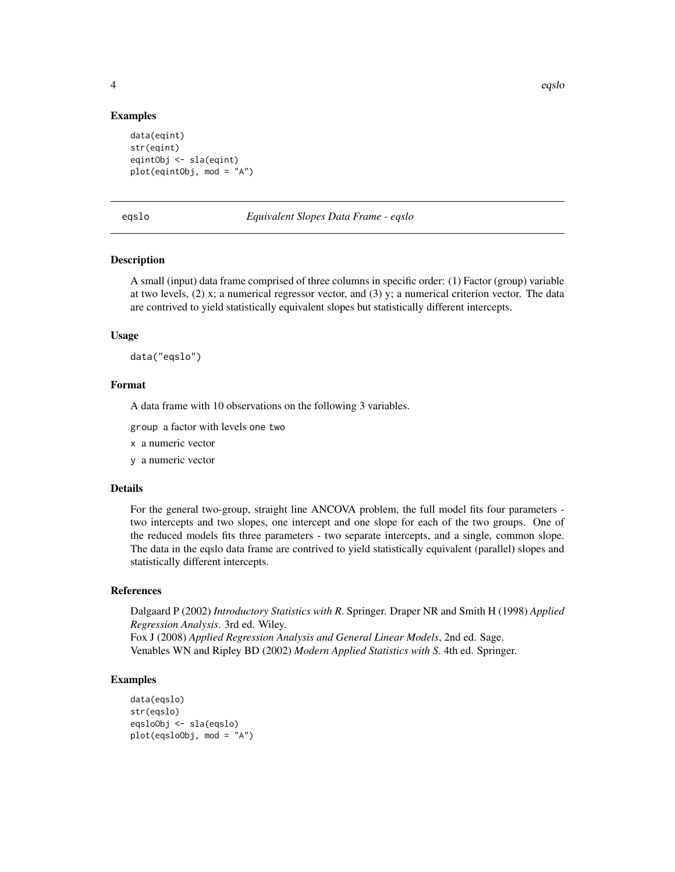#### Examples

```
data(eqint)
str(eqint)
eqintObj <- sla(eqint)
plot(eqintObj, mod = "A")
```
eqslo *Equivalent Slopes Data Frame - eqslo*

#### Description

A small (input) data frame comprised of three columns in specific order: (1) Factor (group) variable at two levels,  $(2)$  x; a numerical regressor vector, and  $(3)$  y; a numerical criterion vector. The data are contrived to yield statistically equivalent slopes but statistically different intercepts.

#### Usage

data("eqslo")

#### Format

A data frame with 10 observations on the following 3 variables.

group a factor with levels one two

x a numeric vector

y a numeric vector

#### Details

For the general two-group, straight line ANCOVA problem, the full model fits four parameters two intercepts and two slopes, one intercept and one slope for each of the two groups. One of the reduced models fits three parameters - two separate intercepts, and a single, common slope. The data in the eqslo data frame are contrived to yield statistically equivalent (parallel) slopes and statistically different intercepts.

#### References

Dalgaard P (2002) *Introductory Statistics with R*. Springer. Draper NR and Smith H (1998) *Applied Regression Analysis*. 3rd ed. Wiley. Fox J (2008) *Applied Regression Analysis and General Linear Models*, 2nd ed. Sage. Venables WN and Ripley BD (2002) *Modern Applied Statistics with S*. 4th ed. Springer.

#### Examples

```
data(eqslo)
str(eqslo)
eqsloObj <- sla(eqslo)
plot(eqsloObj, mod = "A")
```
<span id="page-3-0"></span>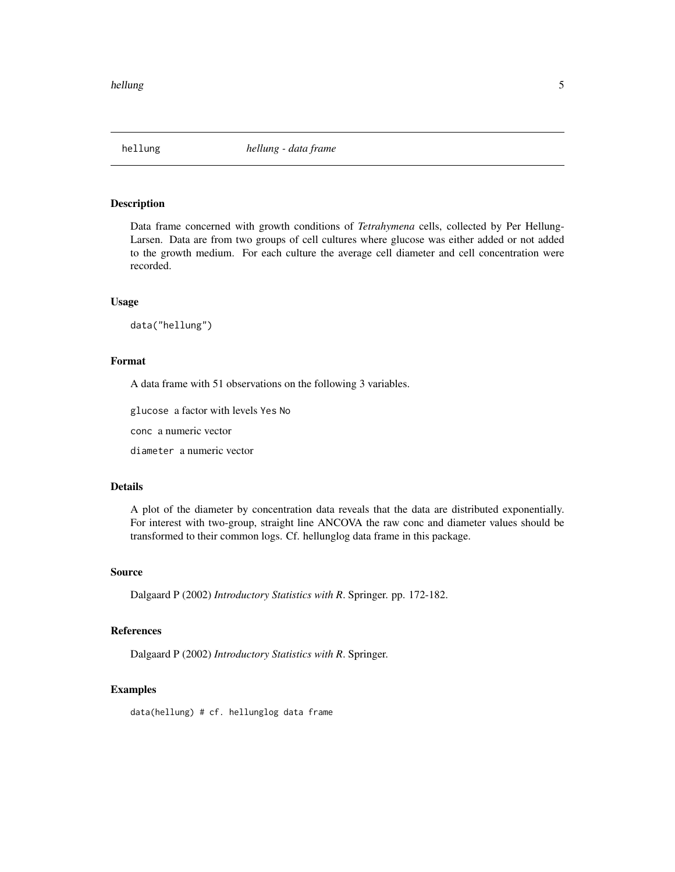<span id="page-4-0"></span>

#### Description

Data frame concerned with growth conditions of *Tetrahymena* cells, collected by Per Hellung-Larsen. Data are from two groups of cell cultures where glucose was either added or not added to the growth medium. For each culture the average cell diameter and cell concentration were recorded.

#### Usage

data("hellung")

#### Format

A data frame with 51 observations on the following 3 variables.

glucose a factor with levels Yes No

conc a numeric vector

diameter a numeric vector

#### Details

A plot of the diameter by concentration data reveals that the data are distributed exponentially. For interest with two-group, straight line ANCOVA the raw conc and diameter values should be transformed to their common logs. Cf. hellunglog data frame in this package.

#### Source

Dalgaard P (2002) *Introductory Statistics with R*. Springer. pp. 172-182.

#### References

Dalgaard P (2002) *Introductory Statistics with R*. Springer.

#### Examples

data(hellung) # cf. hellunglog data frame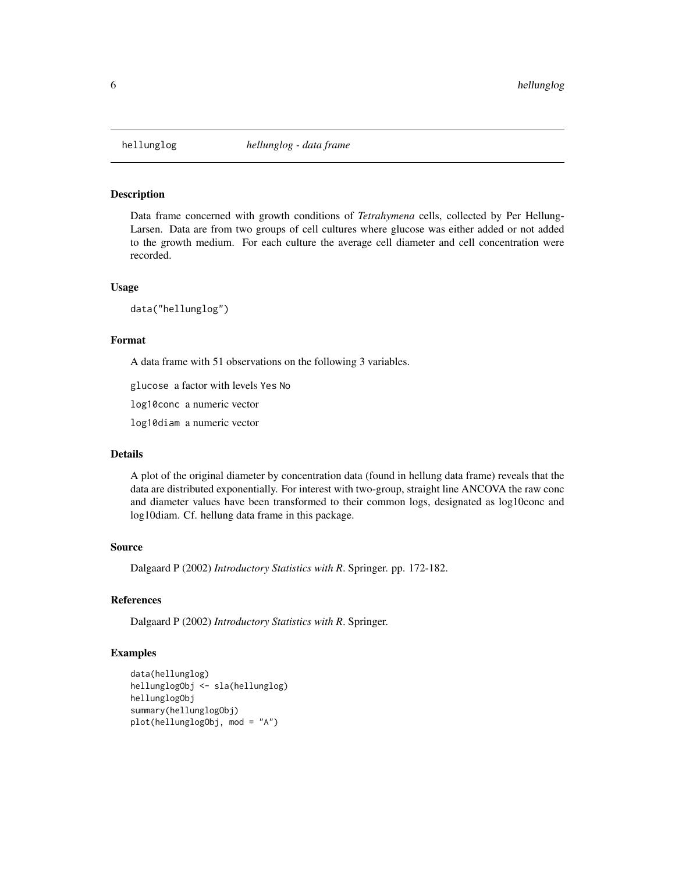<span id="page-5-0"></span>

#### Description

Data frame concerned with growth conditions of *Tetrahymena* cells, collected by Per Hellung-Larsen. Data are from two groups of cell cultures where glucose was either added or not added to the growth medium. For each culture the average cell diameter and cell concentration were recorded.

#### Usage

data("hellunglog")

#### Format

A data frame with 51 observations on the following 3 variables.

glucose a factor with levels Yes No

log10conc a numeric vector

log10diam a numeric vector

#### Details

A plot of the original diameter by concentration data (found in hellung data frame) reveals that the data are distributed exponentially. For interest with two-group, straight line ANCOVA the raw conc and diameter values have been transformed to their common logs, designated as log10conc and log10diam. Cf. hellung data frame in this package.

#### Source

Dalgaard P (2002) *Introductory Statistics with R*. Springer. pp. 172-182.

#### References

Dalgaard P (2002) *Introductory Statistics with R*. Springer.

#### Examples

```
data(hellunglog)
hellunglogObj <- sla(hellunglog)
hellunglogObj
summary(hellunglogObj)
plot(hellunglogObj, mod = "A")
```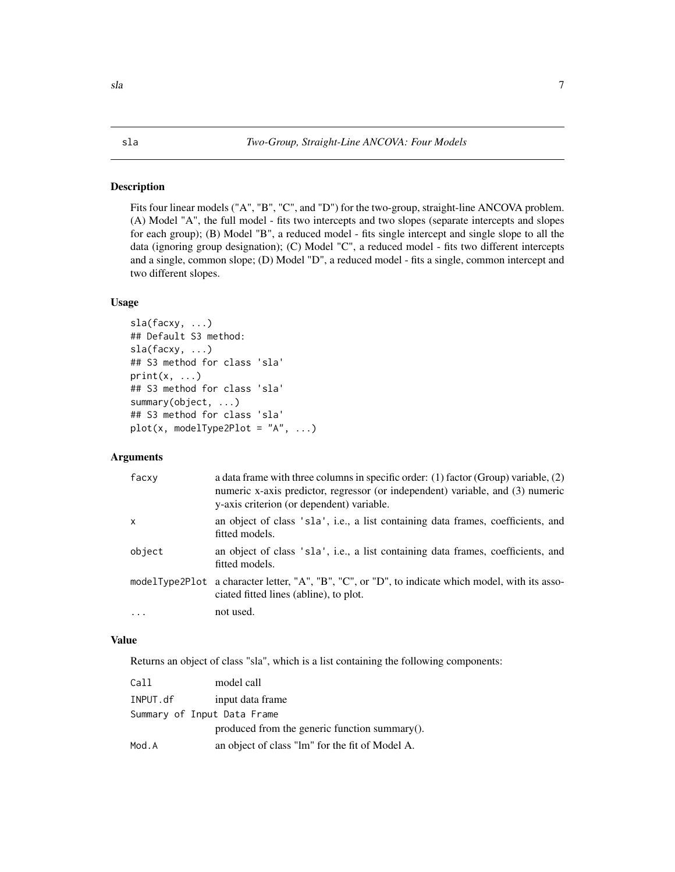#### <span id="page-6-0"></span>Description

Fits four linear models ("A", "B", "C", and "D") for the two-group, straight-line ANCOVA problem. (A) Model "A", the full model - fits two intercepts and two slopes (separate intercepts and slopes for each group); (B) Model "B", a reduced model - fits single intercept and single slope to all the data (ignoring group designation); (C) Model "C", a reduced model - fits two different intercepts and a single, common slope; (D) Model "D", a reduced model - fits a single, common intercept and two different slopes.

#### Usage

```
sla(facxy, ...)
## Default S3 method:
sla(facxy, ...)
## S3 method for class 'sla'
print(x, \ldots)## S3 method for class 'sla'
summary(object, ...)
## S3 method for class 'sla'
plot(x, modelType2Plot = "A", ...)
```
#### Arguments

| facxy    | a data frame with three columns in specific order: $(1)$ factor (Group) variable, $(2)$<br>numeric x-axis predictor, regressor (or independent) variable, and (3) numeric<br>y-axis criterion (or dependent) variable. |
|----------|------------------------------------------------------------------------------------------------------------------------------------------------------------------------------------------------------------------------|
| X        | an object of class 'sla', i.e., a list containing data frames, coefficients, and<br>fitted models.                                                                                                                     |
| object   | an object of class 'sla', i.e., a list containing data frames, coefficients, and<br>fitted models.                                                                                                                     |
|          | modelType2Plot a character letter, "A", "B", "C", or "D", to indicate which model, with its asso-<br>ciated fitted lines (abline), to plot.                                                                            |
| $\cdots$ | not used.                                                                                                                                                                                                              |

#### Value

Returns an object of class "sla", which is a list containing the following components:

| Call     | model call                                      |
|----------|-------------------------------------------------|
| INPUT.df | input data frame                                |
|          | Summary of Input Data Frame                     |
|          | produced from the generic function summary().   |
| Mod.A    | an object of class "lm" for the fit of Model A. |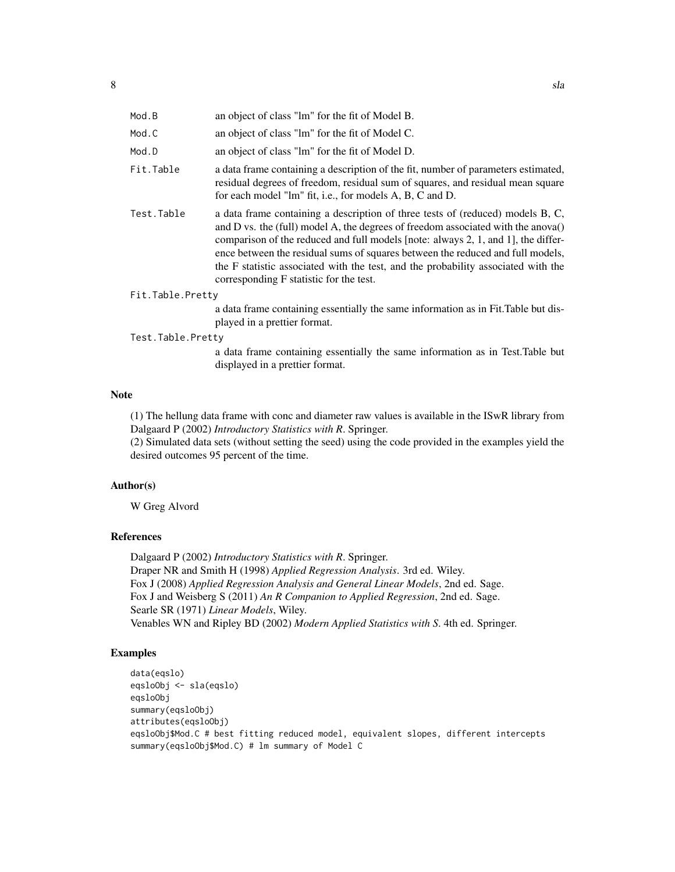| Mod.B             | an object of class "lm" for the fit of Model B.                                                                                                                                                                                                                                                                                                                                                                                                                           |
|-------------------|---------------------------------------------------------------------------------------------------------------------------------------------------------------------------------------------------------------------------------------------------------------------------------------------------------------------------------------------------------------------------------------------------------------------------------------------------------------------------|
| Mod.C             | an object of class "lm" for the fit of Model C.                                                                                                                                                                                                                                                                                                                                                                                                                           |
| Mod.D             | an object of class "lm" for the fit of Model D.                                                                                                                                                                                                                                                                                                                                                                                                                           |
| Fit.Table         | a data frame containing a description of the fit, number of parameters estimated,<br>residual degrees of freedom, residual sum of squares, and residual mean square<br>for each model "lm" fit, i.e., for models A, B, C and D.                                                                                                                                                                                                                                           |
| Test.Table        | a data frame containing a description of three tests of (reduced) models B, C,<br>and D vs. the (full) model A, the degrees of freedom associated with the anova()<br>comparison of the reduced and full models [note: always 2, 1, and 1], the differ-<br>ence between the residual sums of squares between the reduced and full models,<br>the F statistic associated with the test, and the probability associated with the<br>corresponding F statistic for the test. |
| Fit.Table.Pretty  |                                                                                                                                                                                                                                                                                                                                                                                                                                                                           |
|                   | a data frame containing essentially the same information as in Fit. Table but dis-<br>played in a prettier format.                                                                                                                                                                                                                                                                                                                                                        |
| Test.Table.Pretty |                                                                                                                                                                                                                                                                                                                                                                                                                                                                           |
|                   | $\mathbf{1} \times \mathbf{0}$ , $\mathbf{1} \times \mathbf{1}$ , $\mathbf{1} \times \mathbf{1}$ , $\mathbf{1} \times \mathbf{1}$ , $\mathbf{1} \times \mathbf{1}$ , $\mathbf{1} \times \mathbf{1}$ , $\mathbf{1} \times \mathbf{1}$                                                                                                                                                                                                                                      |

a data frame containing essentially the same information as in Test.Table but displayed in a prettier format.

#### Note

(1) The hellung data frame with conc and diameter raw values is available in the ISwR library from Dalgaard P (2002) *Introductory Statistics with R*. Springer.

(2) Simulated data sets (without setting the seed) using the code provided in the examples yield the desired outcomes 95 percent of the time.

#### Author(s)

W Greg Alvord

#### References

Dalgaard P (2002) *Introductory Statistics with R*. Springer. Draper NR and Smith H (1998) *Applied Regression Analysis*. 3rd ed. Wiley. Fox J (2008) *Applied Regression Analysis and General Linear Models*, 2nd ed. Sage. Fox J and Weisberg S (2011) *An R Companion to Applied Regression*, 2nd ed. Sage. Searle SR (1971) *Linear Models*, Wiley. Venables WN and Ripley BD (2002) *Modern Applied Statistics with S*. 4th ed. Springer.

#### Examples

```
data(eqslo)
eqsloObj <- sla(eqslo)
eqsloObj
summary(eqsloObj)
attributes(eqsloObj)
eqsloObj$Mod.C # best fitting reduced model, equivalent slopes, different intercepts
summary(eqsloObj$Mod.C) # lm summary of Model C
```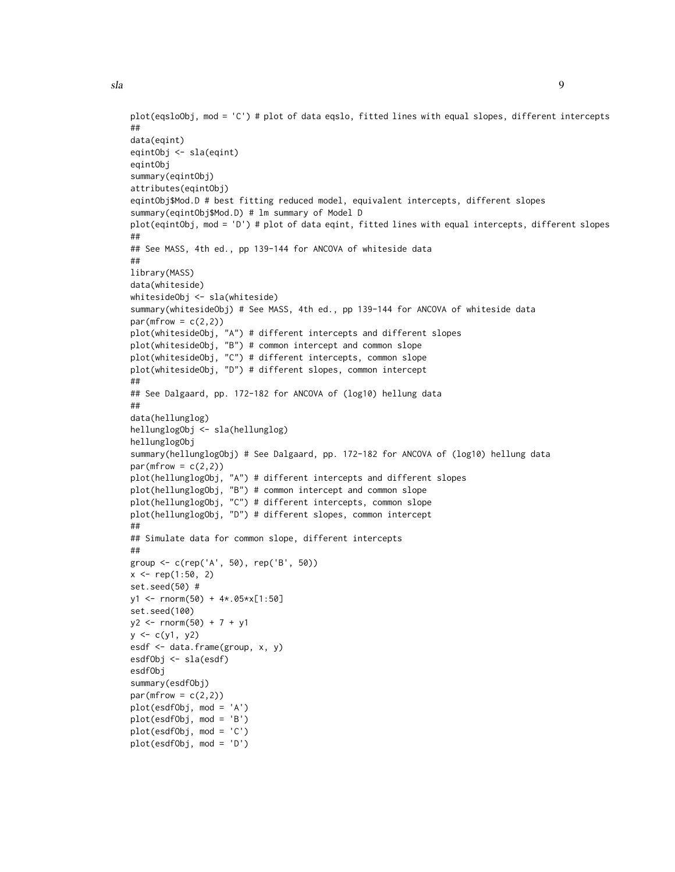##

data(eqint)

eqintObj

eqintObj <- sla(eqint)

summary(eqintObj)

```
sla sla 9
  plot(eqsloObj, mod = 'C') # plot of data eqslo, fitted lines with equal slopes, different intercepts
```

```
attributes(eqintObj)
eqintObj$Mod.D # best fitting reduced model, equivalent intercepts, different slopes
summary(eqintObj$Mod.D) # lm summary of Model D
plot(eqintObj, mod = 'D') # plot of data eqint, fitted lines with equal intercepts, different slopes
##
## See MASS, 4th ed., pp 139-144 for ANCOVA of whiteside data
##
library(MASS)
data(whiteside)
whitesideObj <- sla(whiteside)
summary(whitesideObj) # See MASS, 4th ed., pp 139-144 for ANCOVA of whiteside data
par(mfrow = c(2,2))plot(whitesideObj, "A") # different intercepts and different slopes
plot(whitesideObj, "B") # common intercept and common slope
plot(whitesideObj, "C") # different intercepts, common slope
plot(whitesideObj, "D") # different slopes, common intercept
##
## See Dalgaard, pp. 172-182 for ANCOVA of (log10) hellung data
##
data(hellunglog)
hellunglogObj <- sla(hellunglog)
hellunglogObj
summary(hellunglogObj) # See Dalgaard, pp. 172-182 for ANCOVA of (log10) hellung data
par(mfrow = c(2,2))plot(hellunglogObj, "A") # different intercepts and different slopes
plot(hellunglogObj, "B") # common intercept and common slope
plot(hellunglogObj, "C") # different intercepts, common slope
plot(hellunglogObj, "D") # different slopes, common intercept
##
## Simulate data for common slope, different intercepts
##
group <- c(rep('A', 50), rep('B', 50))
x \leq -rep(1:50, 2)set.seed(50) #
y1 <- rnorm(50) + 4*.05*x[1:50]
set.seed(100)
y2 \le - rnorm(50) + 7 + y1
y \leftarrow c(y1, y2)esdf <- data.frame(group, x, y)
esdfObj <- sla(esdf)
esdfObj
summary(esdfObj)
par(mfrow = c(2,2))plot(esdfObj, mod = 'A')
plot(esdfObj, mod = 'B')
plot(esdfObj, mod = 'C')
plot(esdfObj, mod = 'D')
```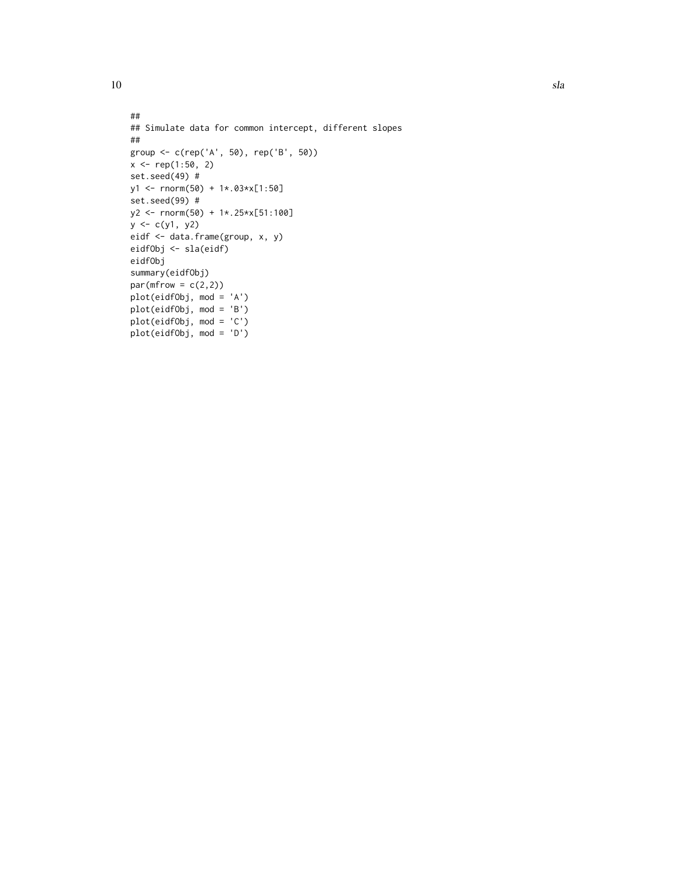```
##
## Simulate data for common intercept, different slopes
##
group <- c(rep('A', 50), rep('B', 50))
x \le rep(1:50, 2)
set.seed(49) #
y1 <- rnorm(50) + 1*.03*x[1:50]
set.seed(99) #
y2 <- rnorm(50) + 1*.25*x[51:100]
y \leftarrow c(y1, y2)eidf <- data.frame(group, x, y)
eidfObj <- sla(eidf)
eidfObj
summary(eidfObj)
par(mfrow = c(2,2))plot(eidfObj, mod = 'A')
plot(eidfObj, mod = 'B')
plot(eidfObj, mod = 'C')
plot(eidfObj, mod = 'D')
```